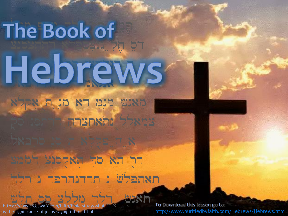## The Book of consectetur adipiscing elit, sed Hobrov labore et dolore magna מאנש מנת דא מנ ת אקלא

quis 1958 p

laboris nisi ut aliquip ex ea

### commodo consequent Pues תאתפלש נ תרדנהרפר נ רלד

velit esse cillum dolore eu fugiat To Download this lesson go to: [https://www.crosswalk.com/faith/bible-study/what](https://www.crosswalk.com/faith/bible-study/what-is-the-significance-of-jesus-saying-i-thirst.html)is-the-significance-of-jesus-saying-i-thirst.html

<http://www.purifiedbyfaith.com/Hebrews/Hebrews.htm>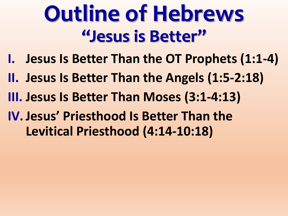# **Outline of Hebrews "Jesus is Better"**

- **I. Jesus Is Better Than the OT Prophets (1:1-4)**
- **II. Jesus Is Better Than the Angels (1:5-2:18)**
- **III. Jesus Is Better Than Moses (3:1-4:13)**
- **IV.Jesus' Priesthood Is Better Than the Levitical Priesthood (4:14-10:18)**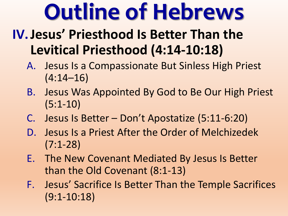# **Outline of Hebrews**

### **IV.Jesus' Priesthood Is Better Than the Levitical Priesthood (4:14-10:18)**

- A. Jesus Is a Compassionate But Sinless High Priest (4:14–16)
- B. Jesus Was Appointed By God to Be Our High Priest (5:1-10)
- C. Jesus Is Better Don't Apostatize (5:11-6:20)
- D. Jesus Is a Priest After the Order of Melchizedek (7:1-28)
- E. The New Covenant Mediated By Jesus Is Better than the Old Covenant (8:1-13)
- F. Jesus' Sacrifice Is Better Than the Temple Sacrifices (9:1-10:18)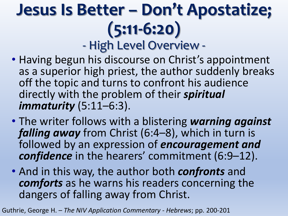### **Jesus Is Better – Don't Apostatize; (5:11-6:20)** - High Level Overview -

- Having begun his discourse on Christ's appointment as a superior high priest, the author suddenly breaks off the topic and turns to confront his audience directly with the problem of their *spiritual immaturity* (5:11–6:3).
- The writer follows with a blistering *warning against falling away* from Christ (6:4–8), which in turn is followed by an expression of *encouragement and confidence* in the hearers' commitment (6:9–12).
- And in this way, the author both *confronts* and *comforts* as he warns his readers concerning the dangers of falling away from Christ.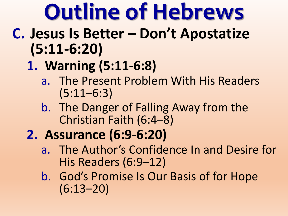# **Outline of Hebrews**

- **C. Jesus Is Better – Don't Apostatize (5:11-6:20)**
	- **1. Warning (5:11-6:8)**
		- a. The Present Problem With His Readers (5:11–6:3)
		- b. The Danger of Falling Away from the Christian Faith (6:4–8)
	- **2. Assurance (6:9-6:20)**
		- a. The Author's Confidence In and Desire for His Readers (6:9–12)
		- b. God's Promise Is Our Basis of for Hope (6:13–20)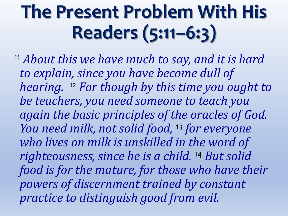## **The Present Problem With His Readers (5:11–6:3)**

<sup>11</sup> *About this we have much to say, and it is hard to explain, since you have become dull of hearing.* <sup>12</sup> *For though by this time you ought to be teachers, you need someone to teach you again the basic principles of the oracles of God. You need milk, not solid food,* <sup>13</sup> *for everyone who lives on milk is unskilled in the word of righteousness, since he is a child.* <sup>14</sup> *But solid food is for the mature, for those who have their powers of discernment trained by constant practice to distinguish good from evil.*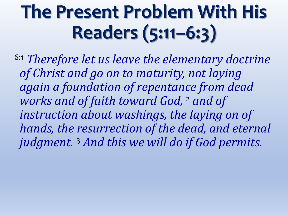## **The Present Problem With His Readers (5:11–6:3)**

6:1 *Therefore let us leave the elementary doctrine of Christ and go on to maturity, not laying again a foundation of repentance from dead works and of faith toward God,* <sup>2</sup> *and of instruction about washings, the laying on of hands, the resurrection of the dead, and eternal judgment.* <sup>3</sup> *And this we will do if God permits.*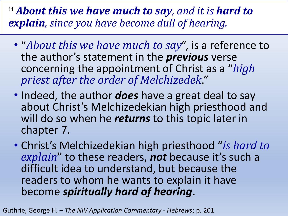<sup>11</sup> *About this we have much to say, and it is hard to explain, since you have become dull of hearing.*

- "*About this we have much to say*", is a reference to the author's statement in the *previous* verse concerning the appointment of Christ as a "*high priest after the order of Melchizedek*."
- Indeed, the author *does* have a great deal to say about Christ's Melchizedekian high priesthood and will do so when he *returns* to this topic later in chapter 7.
- Christ's Melchizedekian high priesthood "*is hard to explain*" to these readers, *not* because it's such a difficult idea to understand, but because the readers to whom he wants to explain it have become *spiritually hard of hearing*.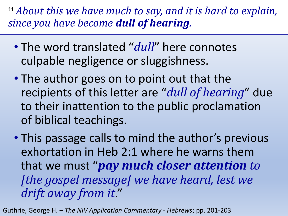<sup>11</sup> *About this we have much to say, and it is hard to explain, since you have become dull of hearing.*

- The word translated "*dull*" here connotes culpable negligence or sluggishness.
- The author goes on to point out that the recipients of this letter are "*dull of hearing*" due to their inattention to the public proclamation of biblical teachings.
- This passage calls to mind the author's previous exhortation in Heb 2:1 where he warns them that we must "*pay much closer attention to [the gospel message] we have heard, lest we drift away from it*."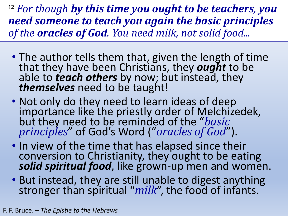<sup>12</sup> *For though by this time you ought to be teachers, you need someone to teach you again the basic principles of the oracles of God. You need milk, not solid food...*

- The author tells them that, given the length of time that they have been Christians, they *ought* to be able to *teach others* by now; but instead, they *themselves* need to be taught!
- Not only do they need to learn ideas of deep importance like the priestly order of Melchizedek, but they need to be reminded of the "*basic principles*" of God's Word ("*oracles of God*").
- In view of the time that has elapsed since their conversion to Christianity, they ought to be eating *solid spiritual food*, like grown-up men and women.
- But instead, they are still unable to digest anything stronger than spiritual "*milk*", the food of infants.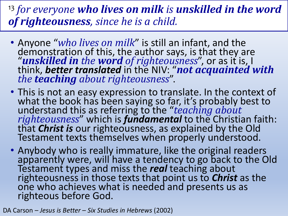#### <sup>13</sup> *for everyone who lives on milk is unskilled in the word of righteousness, since he is a child.*

- Anyone "*who lives on milk*" is still an infant, and the demonstration of this, the author says, is that they are "*unskilled in the word of righteousness*", or as it is, I think, *better translated* in the NIV: "*not acquainted with the teaching about righteousness*".
- This is not an easy expression to translate. In the context of what the book has been saying so far, it's probably best to understand this as referring to the "*teaching about righteousness*" which is *fundamental* to the Christian faith: that *Christ is* our righteousness, as explained by the Old Testament texts themselves when properly understood.
- Anybody who is really immature, like the original readers apparently were, will have a tendency to go back to the Old Testament types and miss the *real* teaching about righteousness in those texts that point us to *Christ* as the one who achieves what is needed and presents us as righteous before God.

DA Carson – *Jesus is Better – Six Studies in Hebrews* (2002)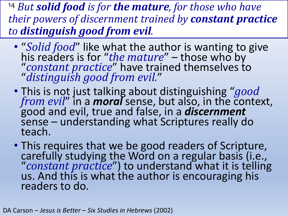<sup>14</sup> *But solid food is for the mature, for those who have their powers of discernment trained by constant practice to distinguish good from evil.*

- "*Solid food*" like what the author is wanting to give his readers is for "*the mature*" – those who by "*constant practice*" have trained themselves to "*distinguish good from evil.*"
- This is not just talking about distinguishing "*good from evil*" in a *moral* sense, but also, in the context, good and evil, true and false, in a *discernment* sense – understanding what Scriptures really do teach.
- This requires that we be good readers of Scripture, carefully studying the Word on a regular basis (i.e., "*constant practice*") to understand what it is telling us. And this is what the author is encouraging his readers to do.

DA Carson – *Jesus is Better – Six Studies in Hebrews* (2002)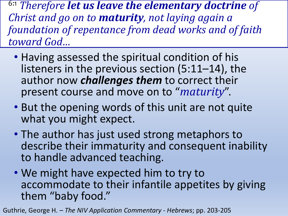- Having assessed the spiritual condition of his listeners in the previous section (5:11–14), the author now *challenges them* to correct their present course and move on to "*maturity*".
- But the opening words of this unit are not quite what you might expect.
- The author has just used strong metaphors to describe their immaturity and consequent inability to handle advanced teaching.
- We might have expected him to try to accommodate to their infantile appetites by giving them "baby food."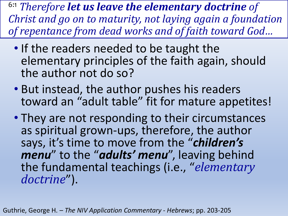- If the readers needed to be taught the elementary principles of the faith again, should the author not do so?
- But instead, the author pushes his readers toward an "adult table" fit for mature appetites!
- They are not responding to their circumstances as spiritual grown-ups, therefore, the author says, it's time to move from the "*children's menu*" to the "*adults' menu*", leaving behind the fundamental teachings (i.e., "*elementary doctrine*").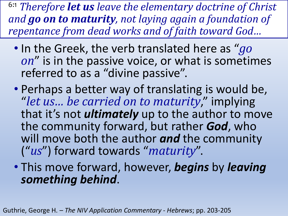- In the Greek, the verb translated here as "*go on*" is in the passive voice, or what is sometimes referred to as a "divine passive".
- Perhaps a better way of translating is would be, "*let us… be carried on to maturity*," implying that it's not *ultimately* up to the author to move the community forward, but rather *God*, who will move both the author *and* the community ("*us*") forward towards "*maturity*".
- This move forward, however, *begins* by *leaving something behind*.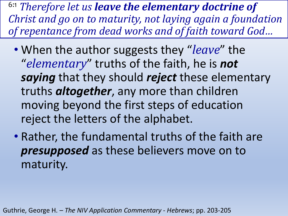- When the author suggests they "*leave*" the "*elementary*" truths of the faith, he is *not saying* that they should *reject* these elementary truths *altogether*, any more than children moving beyond the first steps of education reject the letters of the alphabet.
- Rather, the fundamental truths of the faith are *presupposed* as these believers move on to maturity.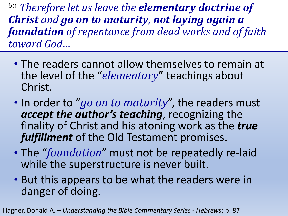- The readers cannot allow themselves to remain at the level of the "*elementary*" teachings about Christ.
- In order to "*go on to maturity*", the readers must *accept the author's teaching*, recognizing the finality of Christ and his atoning work as the *true fulfillment* of the Old Testament promises.
- The "*foundation*" must not be repeatedly re-laid while the superstructure is never built.
- But this appears to be what the readers were in danger of doing.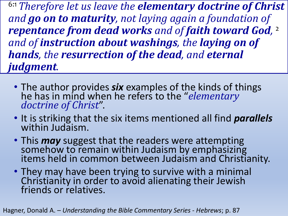6:1 *Therefore let us leave the elementary doctrine of Christ and go on to maturity, not laying again a foundation of repentance from dead works and of faith toward God,*  2 *and of instruction about washings, the laying on of hands, the resurrection of the dead, and eternal judgment.* 

- The author provides *six* examples of the kinds of things he has in mind when he refers to the "*elementary doctrine of Christ*".
- It is striking that the six items mentioned all find *parallels* within Judaism.
- This *may* suggest that the readers were attempting somehow to remain within Judaism by emphasizing items held in common between Judaism and Christianity.
- They may have been trying to survive with a minimal Christianity in order to avoid alienating their Jewish friends or relatives.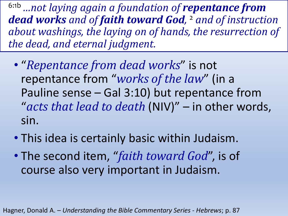- "*Repentance from dead works*" is not repentance from "*works of the law*" (in a Pauline sense – Gal 3:10) but repentance from "*acts that lead to death* (NIV)" – in other words, sin.
- This idea is certainly basic within Judaism.
- The second item, "*faith toward God*", is of course also very important in Judaism.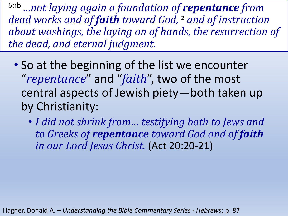- So at the beginning of the list we encounter "*repentance*" and "*faith*", two of the most central aspects of Jewish piety—both taken up by Christianity:
	- *I did not shrink from… testifying both to Jews and to Greeks of repentance toward God and of faith in our Lord Jesus Christ.* (Act 20:20-21)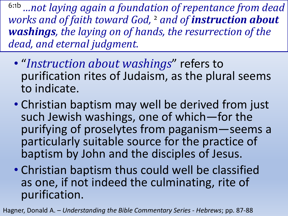- "*Instruction about washings*" refers to purification rites of Judaism, as the plural seems to indicate.
- Christian baptism may well be derived from just such Jewish washings, one of which—for the purifying of proselytes from paganism—seems a particularly suitable source for the practice of baptism by John and the disciples of Jesus.
- Christian baptism thus could well be classified as one, if not indeed the culminating, rite of purification.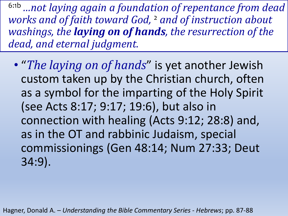• "*The laying on of hands*" is yet another Jewish custom taken up by the Christian church, often as a symbol for the imparting of the Holy Spirit (see Acts 8:17; 9:17; 19:6), but also in connection with healing (Acts 9:12; 28:8) and, as in the OT and rabbinic Judaism, special commissionings (Gen 48:14; Num 27:33; Deut 34:9).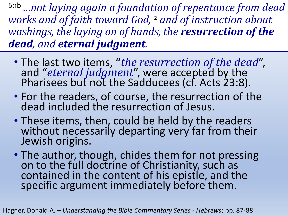- The last two items, "*the resurrection of the dead*", and "*eternal judgment*", were accepted by the Pharisees but not the Sadducees (cf. Acts 23:8).
- For the readers, of course, the resurrection of the dead included the resurrection of Jesus.
- These items, then, could be held by the readers without necessarily departing very far from their Jewish origins.
- The author, though, chides them for not pressing on to the full doctrine of Christianity, such as contained in the content of his epistle, and the specific argument immediately before them.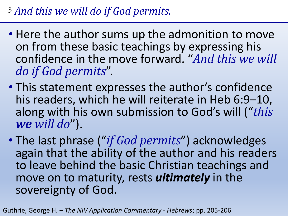#### <sup>3</sup> *And this we will do if God permits.*

- Here the author sums up the admonition to move on from these basic teachings by expressing his confidence in the move forward. "*And this we will do if God permits*".
- This statement expresses the author's confidence his readers, which he will reiterate in Heb 6:9–10, along with his own submission to God's will ("*this we will do*").
- The last phrase ("*if God permits*") acknowledges again that the ability of the author and his readers to leave behind the basic Christian teachings and move on to maturity, rests *ultimately* in the sovereignty of God.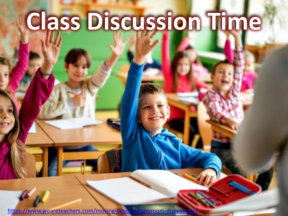# **Class Discussion Time**

<https://www.weareteachers.com/moving-beyond-classroom-discussions/>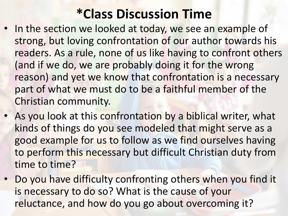### **\*Class Discussion Time**

- In the section we looked at today, we see an example of strong, but loving confrontation of our author towards his readers. As a rule, none of us like having to confront others (and if we do, we are probably doing it for the wrong reason) and yet we know that confrontation is a necessary part of what we must do to be a faithful member of the Christian community.
- As you look at this confrontation by a biblical writer, what kinds of things do you see modeled that might serve as a good example for us to follow as we find ourselves having to perform this necessary but difficult Christian duty from time to time?
- Do you have difficulty confronting others when you find it is necessary to do so? What is the cause of your reluctance, and how do you go about overcoming it?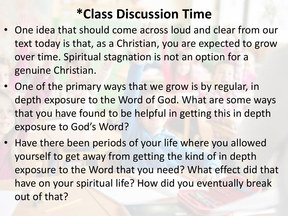### **\*Class Discussion Time**

- One idea that should come across loud and clear from our text today is that, as a Christian, you are expected to grow over time. Spiritual stagnation is not an option for a genuine Christian.
- One of the primary ways that we grow is by regular, in depth exposure to the Word of God. What are some ways that you have found to be helpful in getting this in depth exposure to God's Word?
- Have there been periods of your life where you allowed yourself to get away from getting the kind of in depth exposure to the Word that you need? What effect did that have on your spiritual life? How did you eventually break out of that?